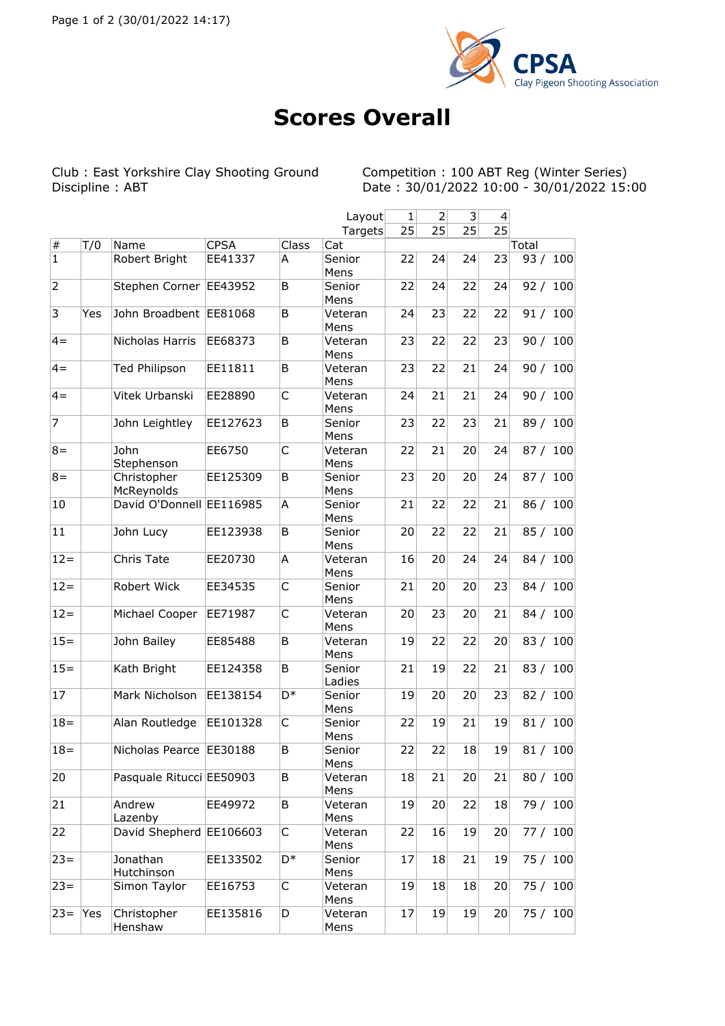

## **Scores Overall**

Club : East Yorkshire Clay Shooting Ground<br>Discipline : ABT

Competition : 100 ABT Reg (Winter Series)<br>Date : 30/01/2022 10:00 - 30/01/2022 15:00

|                |     |                           |             |                | Layout           | $\mathbf{1}$ | $\mathbf 2$ | $\vert$ 3 | $\vert 4 \vert$ |            |
|----------------|-----|---------------------------|-------------|----------------|------------------|--------------|-------------|-----------|-----------------|------------|
|                |     |                           |             |                | Targets          | 25           | 25          | 25        | $\overline{25}$ |            |
| $\#$           | T/0 | Name                      | <b>CPSA</b> | Class          | Cat              |              |             |           |                 | Total      |
| $\mathbf 1$    |     | Robert Bright             | EE41337     | A              | Senior<br>Mens   | 22           | 24          | 24        | 23              | 93/<br>100 |
| $\overline{2}$ |     | Stephen Corner            | EE43952     | B              | Senior<br>Mens   | 22           | 24          | 22        | 24              | 92 / 100   |
| $\overline{3}$ | Yes | John Broadbent EE81068    |             | B              | Veteran<br>Mens  | 24           | 23          | 22        | 22              | 91 / 100   |
| $4 =$          |     | Nicholas Harris           | EE68373     | B              | Veteran<br>Mens  | 23           | 22          | 22        | 23              | 90 / 100   |
| $4 =$          |     | <b>Ted Philipson</b>      | EE11811     | B              | Veteran<br>Mens  | 23           | 22          | 21        | 24              | 90 / 100   |
| $4 =$          |     | Vitek Urbanski            | EE28890     | C              | Veteran<br>Mens  | 24           | 21          | 21        | 24              | 90 / 100   |
| $\overline{7}$ |     | John Leightley            | EE127623    | B              | Senior<br>Mens   | 23           | 22          | 23        | 21              | 89 / 100   |
| $8 =$          |     | John<br>Stephenson        | EE6750      | C              | Veteran<br>Mens  | 22           | 21          | 20        | 24              | 87/<br>100 |
| $8 =$          |     | Christopher<br>McReynolds | EE125309    | B              | Senior<br>Mens   | 23           | 20          | 20        | 24              | 87 / 100   |
| 10             |     | David O'Donnell EE116985  |             | A              | Senior<br>Mens   | 21           | 22          | 22        | 21              | 86 / 100   |
| 11             |     | John Lucy                 | EE123938    | B              | Senior<br>Mens   | 20           | 22          | 22        | 21              | 85 / 100   |
| $12 =$         |     | Chris Tate                | EE20730     | Α              | Veteran<br>Mens  | 16           | 20          | 24        | 24              | 84 / 100   |
| $12 =$         |     | Robert Wick               | EE34535     | C              | Senior<br>Mens   | 21           | 20          | 20        | 23              | 84 / 100   |
| $12 =$         |     | Michael Cooper            | EE71987     | C              | Veteran<br>Mens  | 20           | 23          | 20        | 21              | 84 / 100   |
| $15 =$         |     | John Bailey               | EE85488     | B              | Veteran<br>Mens  | 19           | 22          | 22        | 20              | 83 / 100   |
| $15 =$         |     | Kath Bright               | EE124358    | B              | Senior<br>Ladies | 21           | 19          | 22        | 21              | 83 / 100   |
| 17             |     | Mark Nicholson            | EE138154    | D <sup>*</sup> | Senior<br>Mens   | 19           | 20          | 20        | 23              | 82 / 100   |
| $18 =$         |     | Alan Routledge            | EE101328    | C              | Senior<br>Mens   | 22           | 19          | 21        | 19              | 81 / 100   |
| $18 =$         |     | Nicholas Pearce EE30188   |             | B              | Senior<br>Mens   | 22           | 22          | 18        | 19              | 81/<br>100 |
| 20             |     | Pasquale Ritucci EE50903  |             | B              | Veteran<br>Mens  | 18           | 21          | 20        | 21              | 80 / 100   |
| 21             |     | Andrew<br>Lazenby         | EE49972     | В              | Veteran<br>Mens  | 19           | 20          | 22        | 18              | 79 / 100   |
| 22             |     | David Shepherd EE106603   |             | C              | Veteran<br>Mens  | 22           | 16          | 19        | 20              | 77 / 100   |
| $23 =$         |     | Jonathan<br>Hutchinson    | EE133502    | D*             | Senior<br>Mens   | 17           | 18          | 21        | 19              | 75 / 100   |
| $23 =$         |     | Simon Taylor              | EE16753     | C              | Veteran<br>Mens  | 19           | 18          | 18        | 20              | 75 / 100   |
| $23 =$         | Yes | Christopher<br>Henshaw    | EE135816    | D              | Veteran<br>Mens  | 17           | 19          | 19        | 20              | 75 / 100   |